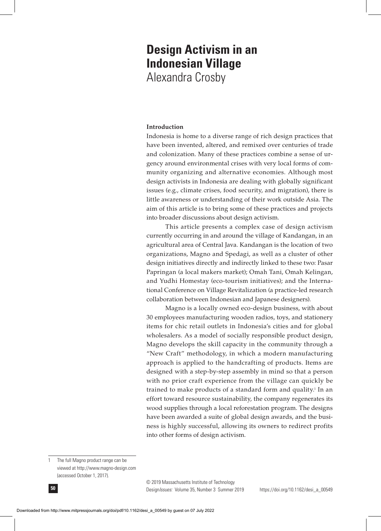# **Design Activism in an Indonesian Village** Alexandra Crosby

# **Introduction**

Indonesia is home to a diverse range of rich design practices that have been invented, altered, and remixed over centuries of trade and colonization. Many of these practices combine a sense of urgency around environmental crises with very local forms of community organizing and alternative economies. Although most design activists in Indonesia are dealing with globally significant issues (e.g., climate crises, food security, and migration), there is little awareness or understanding of their work outside Asia. The aim of this article is to bring some of these practices and projects into broader discussions about design activism.

This article presents a complex case of design activism currently occurring in and around the village of Kandangan, in an agricultural area of Central Java. Kandangan is the location of two organizations, Magno and Spedagi, as well as a cluster of other design initiatives directly and indirectly linked to these two: Pasar Papringan (a local makers market); Omah Tani, Omah Kelingan, and Yudhi Homestay (eco-tourism initiatives); and the International Conference on Village Revitalization (a practice-led research collaboration between Indonesian and Japanese designers).

Magno is a locally owned eco-design business, with about 30 employees manufacturing wooden radios, toys, and stationery items for chic retail outlets in Indonesia's cities and for global wholesalers. As a model of socially responsible product design, Magno develops the skill capacity in the community through a "New Craft" methodology, in which a modern manufacturing approach is applied to the handcrafting of products. Items are designed with a step-by-step assembly in mind so that a person with no prior craft experience from the village can quickly be trained to make products of a standard form and quality.<sup>1</sup> In an effort toward resource sustainability, the company regenerates its wood supplies through a local reforestation program. The designs have been awarded a suite of global design awards, and the business is highly successful, allowing its owners to redirect profits into other forms of design activism.

<sup>1</sup> The full Magno product range can be viewed at http://www.magno-design.com (accessed October 1, 2017).



Design*Issues:* Volume 35, Number 3 Summer 2019 **50** © 2019 Massachusetts Institute of Technology

https://doi.org/10.1162/desi\_a\_00549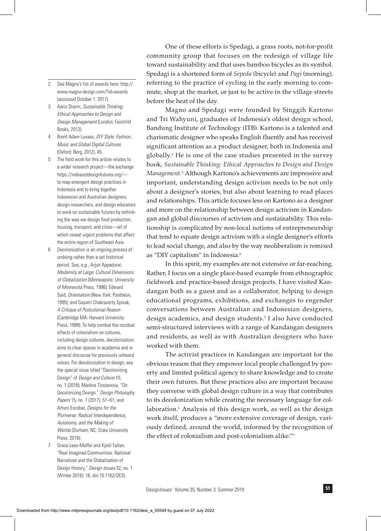- 2 See Magno's list of awards here: http:// www.magno-design.com/?id=awards (accessed October 1, 2017).
- 3 Aaris Sherin, *Sustainable Thinking: Ethical Approaches to Design and Design Management* (London: Fairchild Books, 2013).
- 4 Brent Adam Luvaas, *DIY Style: Fashion, Music and Global Digital Cultures* (Oxford: Berg, 2012), 45.
- 5 The field work for this article relates to a wider research project—the exchange https://indoaustdesignfutures.org/ to map emergent design practices in Indonesia and to bring together Indonesian and Australian designers, design researchers, and design educators to work on sustainable futures by rethinking the way we design food production, housing, transport, and cities—all of which reveal urgent problems that affect the entire region of Southeast Asia.
- 6 Decolonization is an ongoing process of undoing rather than a set historical period. See, e.g., Arjun Appadurai, *Modernity at Large: Cultural Dimensions of Globalization* (Minneapolis: University of Minnesota Press, 1996); Edward Said, *Orientalism* (New York: Pantheon, 1995); and Gayatri Chakravorty Spivak, *A Critique of Postcolonial Reason* (Cambridge MA: Harvard University Press, 1999). To help combat the residual effects of colonialism on cultures, including design cultures, decolonization aims to clear spaces in academia and in general discourse for previously unheard voices. For decolonization in design, see the special issue titled "Decolonizing Design" of *Design and Culture* 10, no. 1 (2018); Madina Tlostanova, "On Decolonizing Design," *Design Philosophy Papers* 15, no. 1 (2017): 51–61; and Arturo Escobar, *Designs for the Pluriverse: Radical Interdependence, Autonomy, and the Making of Worlds* (Durham, NC: Duke University Press, 2018).
- 7 Grace Lees-Maffei and Kjetil Fallan, "Real Imagined Communities: National Narratives and the Globalization of Design History," *Design Issues* 32, no. 1 (Winter 2016): 18, doi:10.1162/DESI.

One of these efforts is Spedagi, a grass roots, not-for-profit community group that focuses on the redesign of village life toward sustainability and that uses bamboo bicycles as its symbol. Spedagi is a shortened form of *Sepeda* (bicycle) and *Pagi* (morning), referring to the practice of cycling in the early morning to commute, shop at the market, or just to be active in the village streets before the heat of the day.

Magno and Spedagi were founded by Singgih Kartono and Tri Wahyuni, graduates of Indonesia's oldest design school, Bandung Institute of Technology (ITB). Kartono is a talented and charismatic designer who speaks English fluently and has received significant attention as a product designer, both in Indonesia and globally.2 He is one of the case studies presented in the survey book, *Sustainable Thinking: Ethical Approaches to Design and Design Management.*<sup>3</sup> Although Kartono's achievements are impressive and important, understanding design activism needs to be not only about a designer's stories, but also about learning to read places and relationships. This article focuses less on Kartono as a designer and more on the relationship between design activism in Kandangan and global discourses of activism and sustainability. This relationship is complicated by non-local notions of entrepreneurship that tend to equate design activism with a single designer's efforts to lead social change, and also by the way neoliberalism is remixed as "DIY capitalism" in Indonesia.4

In this spirit, my examples are not extensive or far-reaching. Rather, I focus on a single place-based example from ethnographic fieldwork and practice-based design projects. I have visited Kandangan both as a guest and as a collaborator, helping to design educational programs, exhibitions, and exchanges to engender conversations between Australian and Indonesian designers, design academics, and design students.5 I also have conducted semi-structured interviews with a range of Kandangan designers and residents, as well as with Australian designers who have worked with them.

The activist practices in Kandangan are important for the obvious reason that they empower local people challenged by poverty and limited political agency to share knowledge and to create their own futures. But these practices also are important because they converse with global design culture in a way that contributes to its decolonization while creating the necessary language for collaboration.<sup>6</sup> Analysis of this design work, as well as the design work itself, produces a "more extensive coverage of design, variously defined, around the world, informed by the recognition of the effect of colonialism and post-colonialism alike."7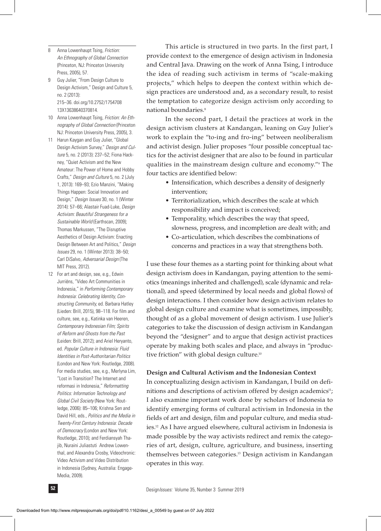- 8 Anna Lowenhaupt Tsing, *Friction: An Ethnography of Global Connection* (Princeton, NJ: Princeton University Press, 2005), 57.
- 9 Guy Julier, "From Design Culture to Design Activism," Design and Culture 5, no. 2 (2013): 215–36. doi.org/10.2752/1754708 13X13638640370814.
- 10 Anna Lowenhaupt Tsing, *Friction: An Ethnography of Global Connection* (Princeton NJ: Princeton University Press, 2005), 3.
- 11 Harun Kaygan and Guy Julier, "Global Design Activism Survey," *Design and Culture* 5, no. 2 (2013): 237–52; Fiona Hackney, "Quiet Activism and the New Amateur: The Power of Home and Hobby Crafts," *Design and Culture* 5, no. 2 (July 1, 2013): 169–93; Ezio Manzini, "Making Things Happen: Social Innovation and Design," *Design Issues* 30, no. 1 (Winter 2014): 57–66; Alastair Fuad-Luke, *Design Activism: Beautiful Strangeness for a Sustainable World* (Earthscan, 2009); Thomas Markussen, "The Disruptive Aesthetics of Design Activism: Enacting Design Between Art and Politics," *Design Issues* 29, no. 1 (Winter 2013): 38–50; Carl DiSalvo, *Adversarial Design* (The MIT Press, 2012).
- 12 For art and design, see, e.g., Edwin Jurriëns, "Video Art Communities in Indonesia," in *Performing Contemporary Indonesia: Celebrating Identity, Constructing Community,* ed. Barbara Hatley (Lieden: Brill, 2015), 98–118. For film and culture, see, e.g., Katinka van Heeren, *Contemporary Indonesian Film; Spirits of Reform and Ghosts from the Past* (Leiden: Brill, 2012); and Ariel Heryanto, ed. *Popular Culture in Indonesia: Fluid Identities in Post-Authoritarian Politics* (London and New York: Routledge, 2008). For media studies, see, e.g., Merlyna Lim, "Lost in Transition? The Internet and reformasi in Indonesia," *Reformatting Politics: Information Technology and Global Civil Society* (New York: Routledge, 2006): 85–106; Krishna Sen and David Hill, eds., *Politics and the Media in Twenty-First Century Indonesia: Decade of Democracy* (London and New York: Routledge, 2010); and Ferdiansyah Thajib, Nuraini Juliastuti Andrew Lowenthal, and Alexandra Crosby, Videochronic: Video Activism and Video Distribution in Indonesia (Sydney, Australia: Engage-Media, 2009).

This article is structured in two parts. In the first part, I provide context to the emergence of design activism in Indonesia and Central Java. Drawing on the work of Anna Tsing, I introduce the idea of reading such activism in terms of "scale-making projects," which helps to deepen the context within which design practices are understood and, as a secondary result, to resist the temptation to categorize design activism only according to national boundaries.<sup>8</sup>

In the second part, I detail the practices at work in the design activism clusters at Kandangan, leaning on Guy Julier's work to explain the "to-ing and fro-ing" between neoliberalism and activist design. Julier proposes "four possible conceptual tactics for the activist designer that are also to be found in particular qualities in the mainstream design culture and economy."9 The four tactics are identified below:

- Intensification, which describes a density of designerly intervention;
- Territorialization, which describes the scale at which responsibility and impact is conceived;
- Temporality, which describes the way that speed, slowness, progress, and incompletion are dealt with; and
- Co-articulation, which describes the combinations of concerns and practices in a way that strengthens both.

I use these four themes as a starting point for thinking about what design activism does in Kandangan, paying attention to the semiotics (meanings inherited and challenged), scale (dynamic and relational), and speed (determined by local needs and global flows) of design interactions. I then consider how design activism relates to global design culture and examine what is sometimes, impossibly, thought of as a global movement of design activism. I use Julier's categories to take the discussion of design activism in Kandangan beyond the "designer" and to argue that design activist practices operate by making both scales and place, and always in "productive friction" with global design culture.<sup>10</sup>

#### **Design and Cultural Activism and the Indonesian Context**

In conceptualizing design activism in Kandangan, I build on definitions and descriptions of activism offered by design academics<sup>11</sup>; I also examine important work done by scholars of Indonesia to identify emerging forms of cultural activism in Indonesia in the fields of art and design, film and popular culture, and media studies.12 As I have argued elsewhere, cultural activism in Indonesia is made possible by the way activists redirect and remix the categories of art, design, culture, agriculture, and business, inserting themselves between categories.13 Design activism in Kandangan operates in this way.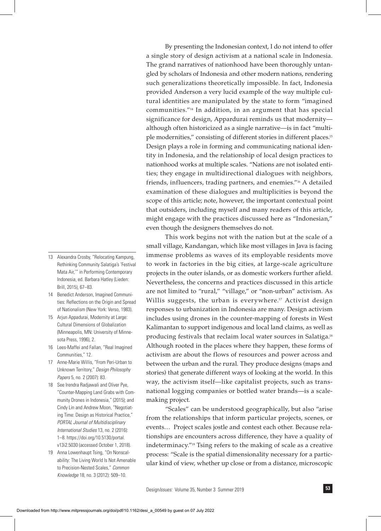By presenting the Indonesian context, I do not intend to offer a single story of design activism at a national scale in Indonesia. The grand narratives of nationhood have been thoroughly untangled by scholars of Indonesia and other modern nations, rendering such generalizations theoretically impossible. In fact, Indonesia provided Anderson a very lucid example of the way multiple cultural identities are manipulated by the state to form "imagined communities."14 In addition, in an argument that has special significance for design, Appardurai reminds us that modernity although often historicized as a single narrative—is in fact "multiple modernities," consisting of different stories in different places.<sup>15</sup> Design plays a role in forming and communicating national identity in Indonesia, and the relationship of local design practices to nationhood works at multiple scales. "Nations are not isolated entities; they engage in multidirectional dialogues with neighbors, friends, influencers, trading partners, and enemies."16 A detailed examination of these dialogues and multiplicities is beyond the scope of this article; note, however, the important contextual point that outsiders, including myself and many readers of this article, might engage with the practices discussed here as "Indonesian," even though the designers themselves do not.

This work begins not with the nation but at the scale of a small village, Kandangan, which like most villages in Java is facing immense problems as waves of its employable residents move to work in factories in the big cities, at large-scale agriculture projects in the outer islands, or as domestic workers further afield. Nevertheless, the concerns and practices discussed in this article are not limited to "rural," "village," or "non-urban" activism. As Willis suggests, the urban is everywhere.<sup>17</sup> Activist design responses to urbanization in Indonesia are many. Design activism includes using drones in the counter-mapping of forests in West Kalimantan to support indigenous and local land claims, as well as producing festivals that reclaim local water sources in Salatiga.18 Although rooted in the places where they happen, these forms of activism are about the flows of resources and power across and between the urban and the rural. They produce designs (maps and stories) that generate different ways of looking at the world. In this way, the activism itself—like capitalist projects, such as transnational logging companies or bottled water brands—is a scalemaking project.

"Scales" can be understood geographically, but also "arise from the relationships that inform particular projects, scenes, or events… Project scales jostle and contest each other. Because relationships are encounters across difference, they have a quality of indeterminacy."19 Tsing refers to the making of scale as a creative process: "Scale is the spatial dimensionality necessary for a particular kind of view, whether up close or from a distance, microscopic

13 Alexandra Crosby, "Relocating Kampung, Rethinking Community Salatiga's 'Festival Mata Air,'" in Performing Contemporary Indonesia, ed. Barbara Hatley (Lieden: Brill, 2015), 67–83.

- 14 Benedict Anderson, Imagined Communities: Reflections on the Origin and Spread of Nationalism (New York: Verso, 1983).
- 15 Arjun Appadurai, Modernity at Large: Cultural Dimensions of Globalization (Minneapolis, MN: University of Minnesota Press, 1996), 2.
- 16 Lees-Maffei and Fallan, "Real Imagined Communities," 12
- 17 Anne-Marie Willis, "From Peri-Urban to Unknown Territory," *Design Philosophy Papers* 5, no. 2 (2007): 83.
- 18 See Irendra Radjawali and Oliver Pye, "Counter-Mapping Land Grabs with Community Drones in Indonesia," (2015); and Cindy Lin and Andrew Moon, "Negotiating Time: Design as Historical Practice," *PORTAL Journal of Multidisciplinary International Studies* 13, no. 2 (2016): 1–8. https://doi.org/10.5130/portal. v13i2.5030 (accessed October 1, 2018).
- 19 Anna Lowenhaupt Tsing, "On Nonscalability: The Living World Is Not Amenable to Precision-Nested Scales," *Common Knowledge* 18, no. 3 (2012): 509–10.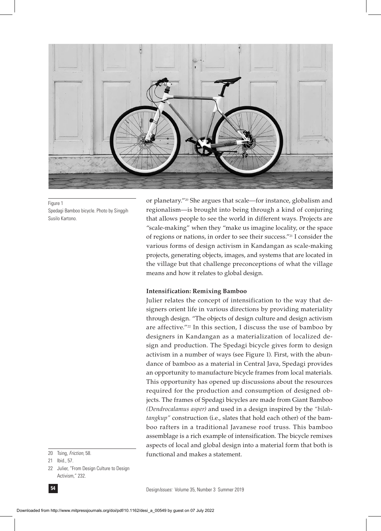

Figure 1 Spedagi Bamboo bicycle. Photo by Singgih Susilo Kartono.

or planetary."20 She argues that scale—for instance, globalism and regionalism—is brought into being through a kind of conjuring that allows people to see the world in different ways. Projects are "scale-making" when they "make us imagine locality, or the space of regions or nations, in order to see their success."21 I consider the various forms of design activism in Kandangan as scale-making projects, generating objects, images, and systems that are located in the village but that challenge preconceptions of what the village means and how it relates to global design.

#### **Intensification: Remixing Bamboo**

Julier relates the concept of intensification to the way that designers orient life in various directions by providing materiality through design. "The objects of design culture and design activism are affective."22 In this section, I discuss the use of bamboo by designers in Kandangan as a materialization of localized design and production. The Spedagi bicycle gives form to design activism in a number of ways (see Figure 1). First, with the abundance of bamboo as a material in Central Java, Spedagi provides an opportunity to manufacture bicycle frames from local materials. This opportunity has opened up discussions about the resources required for the production and consumption of designed objects. The frames of Spedagi bicycles are made from Giant Bamboo *(Dendrocalamus asper)* and used in a design inspired by the *"bilahtangkup"* construction (i.e., slates that hold each other) of the bamboo rafters in a traditional Javanese roof truss. This bamboo assemblage is a rich example of intensification. The bicycle remixes aspects of local and global design into a material form that both is functional and makes a statement.

20 Tsing, *Friction,* 58.

21 Ibid., 57.

22 Julier, "From Design Culture to Design Activism," 232.

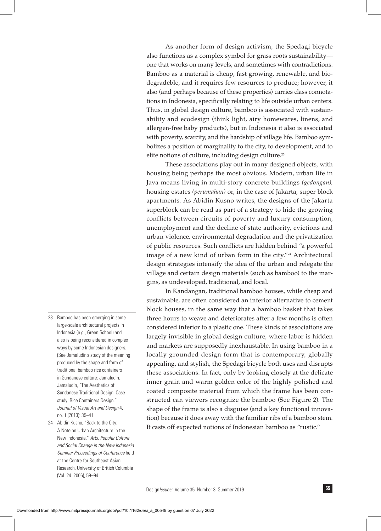As another form of design activism, the Spedagi bicycle also functions as a complex symbol for grass roots sustainability one that works on many levels, and sometimes with contradictions. Bamboo as a material is cheap, fast growing, renewable, and biodegradeble, and it requires few resources to produce; however, it also (and perhaps because of these properties) carries class connotations in Indonesia, specifically relating to life outside urban centers. Thus, in global design culture, bamboo is associated with sustainability and ecodesign (think light, airy homewares, linens, and allergen-free baby products), but in Indonesia it also is associated with poverty, scarcity, and the hardship of village life. Bamboo symbolizes a position of marginality to the city, to development, and to elite notions of culture, including design culture.<sup>23</sup>

These associations play out in many designed objects, with housing being perhaps the most obvious. Modern, urban life in Java means living in multi-story concrete buildings *(gedongan),* housing estates *(perumahan)* or, in the case of Jakarta, super block apartments. As Abidin Kusno writes, the designs of the Jakarta superblock can be read as part of a strategy to hide the growing conflicts between circuits of poverty and luxury consumption, unemployment and the decline of state authority, evictions and urban violence, environmental degradation and the privatization of public resources. Such conflicts are hidden behind "a powerful image of a new kind of urban form in the city."<sup>24</sup> Architectural design strategies intensify the idea of the urban and relegate the village and certain design materials (such as bamboo) to the margins, as undeveloped, traditional, and local.

In Kandangan, traditional bamboo houses, while cheap and sustainable, are often considered an inferior alternative to cement block houses, in the same way that a bamboo basket that takes three hours to weave and deteriorates after a few months is often considered inferior to a plastic one. These kinds of associations are largely invisible in global design culture, where labor is hidden and markets are supposedly inexhaustable. In using bamboo in a locally grounded design form that is contemporary, globally appealing, and stylish, the Spedagi bicycle both uses and disrupts these associations. In fact, only by looking closely at the delicate inner grain and warm golden color of the highly polished and coated composite material from which the frame has been constructed can viewers recognize the bamboo (See Figure 2). The shape of the frame is also a disguise (and a key functional innovation) because it does away with the familiar ribs of a bamboo stem. It casts off expected notions of Indonesian bamboo as "rustic."

- 23 Bamboo has been emerging in some large-scale architectural projects in Indonesia (e.g., Green School) and also is being reconsidered in complex ways by some Indonesian designers. (See Jamaludin's study of the meaning produced by the shape and form of traditional bamboo rice containers in Sundanese culture: Jamaludin. Jamaludin, "The Aesthetics of Sundanese Traditional Design, Case study: Rice Containers Design," *Journal of Visual Art and Design* 4, no. 1 (2013): 35–41.
- 24 Abidin Kusno, "Back to the City: A Note on Urban Architecture in the New Indonesia," *Arts, Popular Culture and Social Change in the New Indonesia Seminar Proceedings of Conference* held at the Centre for Southeast Asian Research, University of British Columbia (Vol. 24. 2006), 59–94.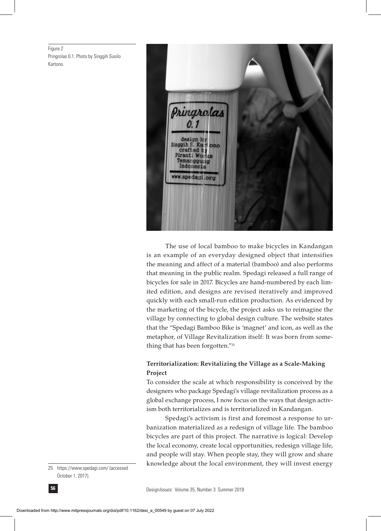Figure 2 Pringrolas 0.1. Photo by Singgih Susilo Kartono.



The use of local bamboo to make bicycles in Kandangan is an example of an everyday designed object that intensifies the meaning and affect of a material (bamboo) and also performs that meaning in the public realm. Spedagi released a full range of bicycles for sale in 2017. Bicycles are hand-numbered by each limited edition, and designs are revised iteratively and improved quickly with each small-run edition production. As evidenced by the marketing of the bicycle, the project asks us to reimagine the village by connecting to global design culture. The website states that the "Spedagi Bamboo Bike is 'magnet' and icon, as well as the metaphor, of Village Revitalization itself: It was born from something that has been forgotten."25

## **Territorialization: Revitalizing the Village as a Scale-Making Project**

To consider the scale at which responsibility is conceived by the designers who package Spedagi's village revitalization process as a global exchange process, I now focus on the ways that design activism both territorializes and is territorialized in Kandangan.

Spedagi's activism is first and foremost a response to urbanization materialized as a redesign of village life. The bamboo bicycles are part of this project. The narrative is logical: Develop the local economy, create local opportunities, redesign village life, and people will stay. When people stay, they will grow and share knowledge about the local environment, they will invest energy

<sup>25</sup> https://www.spedagi.com/ (accessed October 1, 2017).

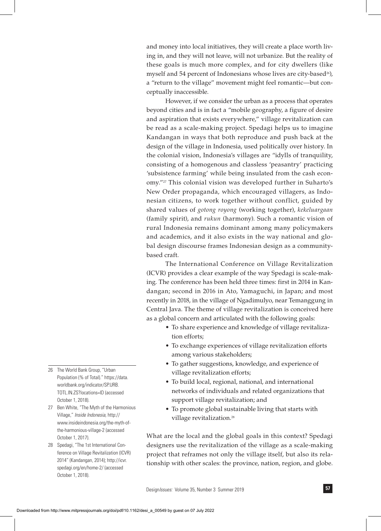and money into local initiatives, they will create a place worth living in, and they will not leave, will not urbanize. But the reality of these goals is much more complex, and for city dwellers (like myself and 54 percent of Indonesians whose lives are city-based<sup>26</sup>), a "return to the village" movement might feel romantic—but conceptually inaccessible.

However, if we consider the urban as a process that operates beyond cities and is in fact a "mobile geography, a figure of desire and aspiration that exists everywhere," village revitalization can be read as a scale-making project. Spedagi helps us to imagine Kandangan in ways that both reproduce and push back at the design of the village in Indonesia, used politically over history. In the colonial vision, Indonesia's villages are "idylls of tranquility, consisting of a homogenous and classless 'peasantry' practicing 'subsistence farming' while being insulated from the cash economy."27 This colonial vision was developed further in Suharto's New Order propaganda, which encouraged villagers, as Indonesian citizens, to work together without conflict, guided by shared values of *gotong royong* (working together), *kekeluargaan* (family spirit), and *rukun* (harmony). Such a romantic vision of rural Indonesia remains dominant among many policymakers and academics, and it also exists in the way national and global design discourse frames Indonesian design as a communitybased craft.

The International Conference on Village Revitalization (ICVR) provides a clear example of the way Spedagi is scale-making. The conference has been held three times: first in 2014 in Kandangan; second in 2016 in Ato, Yamaguchi, in Japan; and most recently in 2018, in the village of Ngadimulyo, near Temanggung in Central Java. The theme of village revitalization is conceived here as a global concern and articulated with the following goals:

- To share experience and knowledge of village revitaliza tion efforts;
- To exchange experiences of village revitalization efforts among various stakeholders;
- To gather suggestions, knowledge, and experience of village revitalization efforts;
- To build local, regional, national, and international networks of individuals and related organizations that support village revitalization; and
- To promote global sustainable living that starts with village revitalization.<sup>28</sup>

What are the local and the global goals in this context? Spedagi designers use the revitalization of the village as a scale-making project that reframes not only the village itself, but also its relationship with other scales: the province, nation, region, and globe.

- 26 The World Bank Group, "Urban Population (% of Total)." https://data. worldbank.org/indicator/SP.URB. TOTL.IN.ZS?locations=ID (accessed October 1, 2018).
- 27 Ben White, "The Myth of the Harmonious Village," *Inside Indonesia,* http:// www.insideindonesia.org/the-myth-ofthe-harmonious-village-2 (accessed October 1, 2017).
- 28 Spedagi, "The 1st International Conference on Village Revitalization (ICVR) 2014" (Kandangan, 2014); http://icvr. spedagi.org/en/home-2/ (accessed October 1, 2018).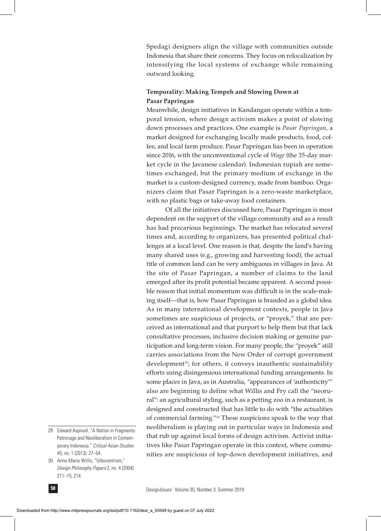Spedagi designers align the village with communities outside Indonesia that share their concerns. They focus on relocalization by intensifying the local systems of exchange while remaining outward looking.

## **Temporality: Making Tempeh and Slowing Down at Pasar Papringan**

Meanwhile, design initiatives in Kandangan operate within a temporal tension, where design activism makes a point of slowing down processes and practices. One example is *Pasar Papringan,* a market designed for exchanging locally made products, food, coffee, and local farm produce. Pasar Papringan has been in operation since 2016, with the unconventional cycle of *Wage* (the 35-day market cycle in the Javanese calendar). Indonesian rupiah are sometimes exchanged, but the primary medium of exchange in the market is a custom-designed currency, made from bamboo. Organizers claim that Pasar Papringan is a zero-waste marketplace, with no plastic bags or take-away food containers.

Of all the initiatives discussed here, Pasar Papringan is most dependent on the support of the village community and as a result has had precarious beginnings. The market has relocated several times and, according to organizers, has presented political challenges at a local level. One reason is that, despite the land's having many shared uses (e.g., growing and harvesting food), the actual title of common land can be very ambiguous in villages in Java. At the site of Pasar Papringan, a number of claims to the land emerged after its profit potential became apparent. A second possible reason that initial momentum was difficult is in the scale-making itself—that is, how Pasar Papringan is branded as a global idea. As in many international development contexts, people in Java sometimes are suspicious of projects, or "proyek," that are perceived as international and that purport to help them but that lack consultative processes, inclusive decision making or genuine participation and long-term vision. For many people, the "proyek" still carries associations from the New Order of corrupt government development<sup>29</sup>; for others, it conveys inauthentic sustainability efforts using disingenuous international funding arrangements. In some places in Java, as in Australia, "appearances of 'authenticity'" also are beginning to define what Willis and Fry call the "neorural": an agricultural styling, such as a petting zoo in a restaurant, is designed and constructed that has little to do with "the actualities of commercial farming."30 These suspicions speak to the way that neoliberalism is playing out in particular ways in Indonesia and that rub up against local forms of design activism. Activist initiatives like Pasar Papringan operate in this context, where communities are suspicious of top-down development initiatives, and

30 Anne-Marie Willis, "Urbocentrism," *Design Philosophy Papers* 2, no. 4 (2004): 211–15, 214.



<sup>29</sup> Edward Aspinall, "A Nation in Fragments: Patronage and Neoliberalism in Contemporary Indonesia," *Critical Asian Studies* 45, no. 1 (2013): 27–54.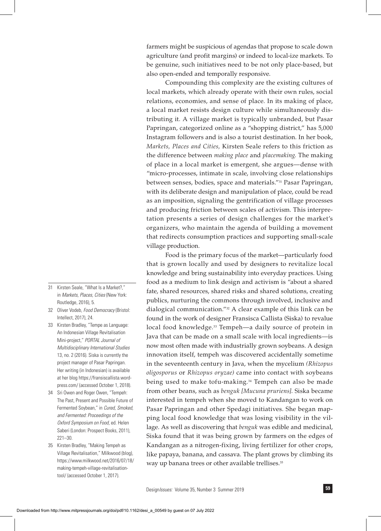farmers might be suspicious of agendas that propose to scale down agriculture (and profit margins) or indeed to local-ize markets. To be genuine, such initiatives need to be not only place-based, but also open-ended and temporally responsive.

Compounding this complexity are the existing cultures of local markets, which already operate with their own rules, social relations, economies, and sense of place. In its making of place, a local market resists design culture while simultaneously distributing it. A village market is typically unbranded, but Pasar Papringan, categorized online as a "shopping district," has 5,000 Instagram followers and is also a tourist destination. In her book, *Markets, Places and Cities,* Kirsten Seale refers to this friction as the difference between *making place* and *placemaking.* The making of place in a local market is emergent, she argues—dense with "micro-processes, intimate in scale, involving close relationships between senses, bodies, space and materials."31 Pasar Papringan, with its deliberate design and manipulation of place, could be read as an imposition, signaling the gentrification of village processes and producing friction between scales of activism. This interpretation presents a series of design challenges for the market's organizers, who maintain the agenda of building a movement that redirects consumption practices and supporting small-scale village production.

Food is the primary focus of the market—particularly food that is grown locally and used by designers to revitalize local knowledge and bring sustainability into everyday practices. Using food as a medium to link design and activism is "about a shared fate, shared resources, shared risks and shared solutions, creating publics, nurturing the commons through involved, inclusive and dialogical communication."32 A clear example of this link can be found in the work of designer Fransisca Callista (Siska) to revalue local food knowledge.<sup>33</sup> Tempeh—a daily source of protein in Java that can be made on a small scale with local ingredients—is now most often made with industrially grown soybeans. A design innovation itself, tempeh was discovered accidentally sometime in the seventeenth century in Java, when the mycelium *(Rhizopus oligosporus* or *Rhizopus oryzae)* came into contact with soybeans being used to make tofu-making.<sup>34</sup> Tempeh can also be made from other beans, such as *benguk [Mucuna pruriens].* Siska became interested in tempeh when she moved to Kandangan to work on Pasar Papringan and other Spedagi initiatives. She began mapping local food knowledge that was losing visibility in the village. As well as discovering that *benguk* was edible and medicinal, Siska found that it was being grown by farmers on the edges of Kandangan as a nitrogen-fixing, living fertilizer for other crops, like papaya, banana, and cassava. The plant grows by climbing its way up banana trees or other available trellises.<sup>35</sup>

- 31 Kirsten Seale, "What Is a Market?," in *Markets, Places, Cities* (New York: Routledge, 2016), 5.
- 32 Oliver Vodeb, *Food Democracy* (Bristol: Intellect, 2017), 24.
- 33 Kirsten Bradley, "Tempe as Language: An Indonesian Village Revitalisation Mini-project," *PORTAL Journal of Multidisciplinary International Studies* 13, no. 2 (2016). Siska is currently the project manager of Pasar Papringan. Her writing (in Indonesian) is available at her blog https://fransiscallista.wordpress.com/ (accessed October 1, 2018).
- 34 Sri Owen and Roger Owen, "Tempeh: The Past, Present and Possible Future of Fermented Soybean," in *Cured, Smoked, and Fermented: Proceedings of the Oxford Symposium on Food,* ed. Helen Saberi (London: Prospect Books, 2011), 221–30.
- 35 Kirsten Bradley, "Making Tempeh as Village Revitalisation," Milkwood (blog), https://www.milkwood.net/2016/07/18/ making-tempeh-village-revitalisationtool/ (accessed October 1, 2017).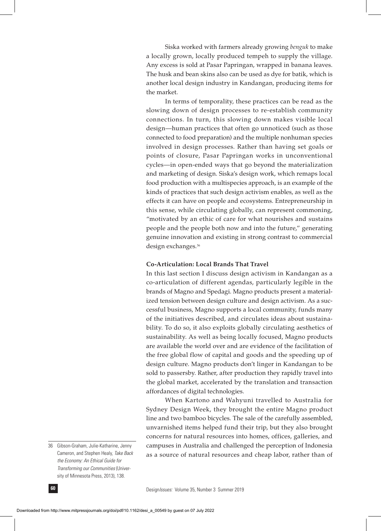Siska worked with farmers already growing *benguk* to make a locally grown, locally produced tempeh to supply the village. Any excess is sold at Pasar Papringan, wrapped in banana leaves. The husk and bean skins also can be used as dye for batik, which is another local design industry in Kandangan, producing items for the market.

In terms of temporality, these practices can be read as the slowing down of design processes to re-establish community connections. In turn, this slowing down makes visible local design—human practices that often go unnoticed (such as those connected to food preparation) and the multiple nonhuman species involved in design processes. Rather than having set goals or points of closure, Pasar Papringan works in unconventional cycles—in open-ended ways that go beyond the materialization and marketing of design. Siska's design work, which remaps local food production with a multispecies approach, is an example of the kinds of practices that such design activism enables, as well as the effects it can have on people and ecosystems. Entrepreneurship in this sense, while circulating globally, can represent commoning, "motivated by an ethic of care for what nourishes and sustains people and the people both now and into the future," generating genuine innovation and existing in strong contrast to commercial design exchanges.36

#### **Co-Articulation: Local Brands That Travel**

In this last section I discuss design activism in Kandangan as a co-articulation of different agendas, particularly legible in the brands of Magno and Spedagi. Magno products present a materialized tension between design culture and design activism. As a successful business, Magno supports a local community, funds many of the initiatives described, and circulates ideas about sustainability. To do so, it also exploits globally circulating aesthetics of sustainability. As well as being locally focused, Magno products are available the world over and are evidence of the facilitation of the free global flow of capital and goods and the speeding up of design culture. Magno products don't linger in Kandangan to be sold to passersby. Rather, after production they rapidly travel into the global market, accelerated by the translation and transaction affordances of digital technologies.

When Kartono and Wahyuni travelled to Australia for Sydney Design Week, they brought the entire Magno product line and two bamboo bicycles. The sale of the carefully assembled, unvarnished items helped fund their trip, but they also brought concerns for natural resources into homes, offices, galleries, and campuses in Australia and challenged the perception of Indonesia as a source of natural resources and cheap labor, rather than of

<sup>36</sup> Gibson-Graham, Julie-Katharine, Jenny Cameron, and Stephen Healy, *Take Back the Economy: An Ethical Guide for Transforming our Communities* (University of Minnesota Press, 2013), 138.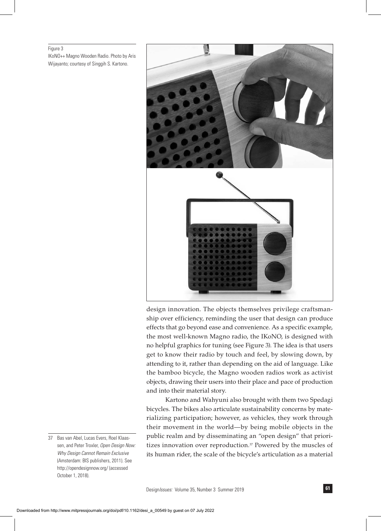#### Figure 3

IKoNO++ Magno Wooden Radio. Photo by Aris Wijayanto; courtesy of Singgih S. Kartono.



design innovation. The objects themselves privilege craftsmanship over efficiency, reminding the user that design can produce effects that go beyond ease and convenience. As a specific example, the most well-known Magno radio, the IKoNO, is designed with no helpful graphics for tuning (see Figure 3). The idea is that users get to know their radio by touch and feel, by slowing down, by attending to it, rather than depending on the aid of language. Like the bamboo bicycle, the Magno wooden radios work as activist objects, drawing their users into their place and pace of production and into their material story.

Kartono and Wahyuni also brought with them two Spedagi bicycles. The bikes also articulate sustainability concerns by materializing participation; however, as vehicles, they work through their movement in the world—by being mobile objects in the public realm and by disseminating an "open design" that prioritizes innovation over reproduction.<sup>37</sup> Powered by the muscles of its human rider, the scale of the bicycle's articulation as a material

<sup>37</sup> Bas van Abel, Lucas Evers, Roel Klaassen, and Peter Troxler, *Open Design Now: Why Design Cannot Remain Exclusive* (Amsterdam: BIS publishers, 2011). See http://opendesignnow.org/ (accessed October 1, 2018).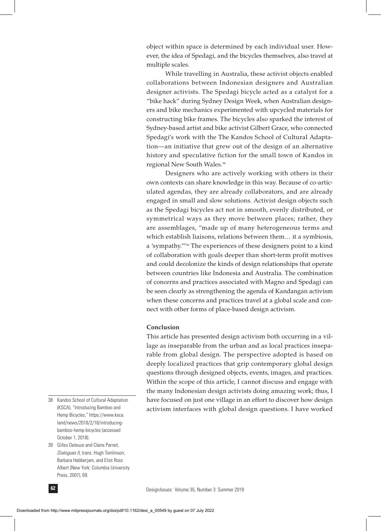object within space is determined by each individual user. However, the idea of Spedagi, and the bicycles themselves, also travel at multiple scales.

While travelling in Australia, these activist objects enabled collaborations between Indonesian designers and Australian designer activists. The Spedagi bicycle acted as a catalyst for a "bike hack" during Sydney Design Week, when Australian designers and bike mechanics experimented with upcycled materials for constructing bike frames. The bicycles also sparked the interest of Sydney-based artist and bike activist Gilbert Grace, who connected Spedagi's work with the The Kandos School of Cultural Adaptation—an initiative that grew out of the design of an alternative history and speculative fiction for the small town of Kandos in regional New South Wales.<sup>38</sup>

Designers who are actively working with others in their own contexts can share knowledge in this way. Because of co-articulated agendas, they are already collaborators, and are already engaged in small and slow solutions. Activist design objects such as the Spedagi bicycles act not in smooth, evenly distributed, or symmetrical ways as they move between places; rather, they are assemblages, "made up of many heterogeneous terms and which establish liaisons, relations between them… it a symbiosis, a 'sympathy.'"39 The experiences of these designers point to a kind of collaboration with goals deeper than short-term profit motives and could decolonize the kinds of design relationships that operate between countries like Indonesia and Australia. The combination of concerns and practices associated with Magno and Spedagi can be seen clearly as strengthening the agenda of Kandangan activism when these concerns and practices travel at a global scale and connect with other forms of place-based design activism.

## **Conclusion**

This article has presented design activism both occurring in a village as inseparable from the urban and as local practices inseparable from global design. The perspective adopted is based on deeply localized practices that grip contemporary global design questions through designed objects, events, images, and practices. Within the scope of this article, I cannot discuss and engage with the many Indonesian design activists doing amazing work; thus, I have focused on just one village in an effort to discover how design activism interfaces with global design questions. I have worked

- 38 Kandos School of Cultural Adaptation (KSCA), "Introducing Bamboo and Hemp Bicycles," https://www.ksca. land/news/2018/2/18/introducingbamboo-hemp-bicycles (accessed October 1, 2018).
- 39 Gilles Deleuze and Claire Parnet, *Dialogues II,* trans. Hugh Tomlinson, Barbara Habberjam, and Eliot Ross Albert (New York: Columbia University Press, 2007), 69.